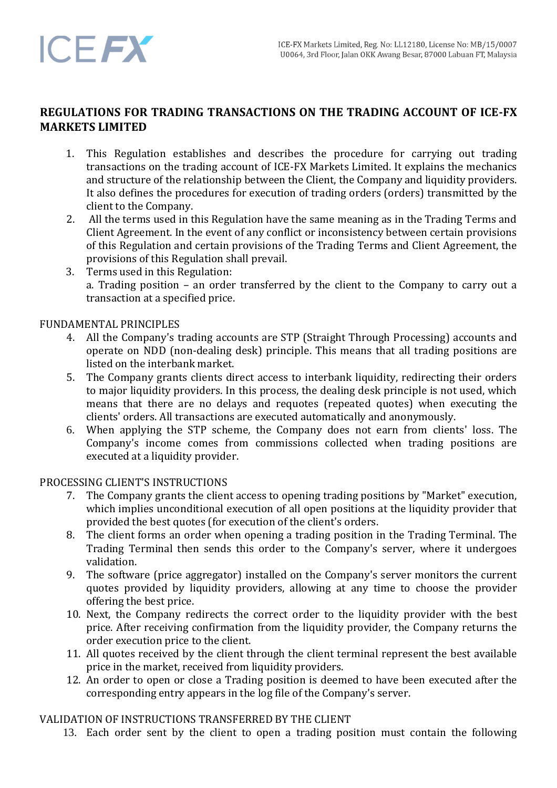

# **REGULATIONS FOR TRADING TRANSACTIONS ON THE TRADING ACCOUNT OF ICE-FX MARKETS LIMITED**

- 1. This Regulation establishes and describes the procedure for carrying out trading transactions on the trading account of ICE-FX Markets Limited. It explains the mechanics and structure of the relationship between the Client, the Company and liquidity providers. It also defines the procedures for execution of trading orders (orders) transmitted by the client to the Company.
- 2. All the terms used in this Regulation have the same meaning as in the Trading Terms and Client Agreement. In the event of any conflict or inconsistency between certain provisions of this Regulation and certain provisions of the Trading Terms and Client Agreement, the provisions of this Regulation shall prevail.
- 3. Terms used in this Regulation: a. Trading position – an order transferred by the client to the Company to carry out a transaction at a specified price.

## FUNDAMENTAL PRINCIPLES

- 4. All the Company's trading accounts are STP (Straight Through Processing) accounts and operate on NDD (non-dealing desk) principle. This means that all trading positions are listed on the interbank market.
- 5. The Company grants clients direct access to interbank liquidity, redirecting their orders to major liquidity providers. In this process, the dealing desk principle is not used, which means that there are no delays and requotes (repeated quotes) when executing the clients' orders. All transactions are executed automatically and anonymously.
- 6. When applying the STP scheme, the Company does not earn from clients' loss. The Company's income comes from commissions collected when trading positions are executed at a liquidity provider.

## PROCESSING CLIENT'S INSTRUCTIONS

- 7. The Company grants the client access to opening trading positions by "Market" execution, which implies unconditional execution of all open positions at the liquidity provider that provided the best quotes (for execution of the client's orders.
- 8. The client forms an order when opening a trading position in the Trading Terminal. The Trading Terminal then sends this order to the Company's server, where it undergoes validation.
- 9. The software (price aggregator) installed on the Company's server monitors the current quotes provided by liquidity providers, allowing at any time to choose the provider offering the best price.
- 10. Next, the Company redirects the correct order to the liquidity provider with the best price. After receiving confirmation from the liquidity provider, the Company returns the order execution price to the client.
- 11. All quotes received by the client through the client terminal represent the best available price in the market, received from liquidity providers.
- 12. An order to open or close a Trading position is deemed to have been executed after the corresponding entry appears in the log file of the Company's server.

#### VALIDATION OF INSTRUCTIONS TRANSFERRED BY THE CLIENT

13. Each order sent by the client to open a trading position must contain the following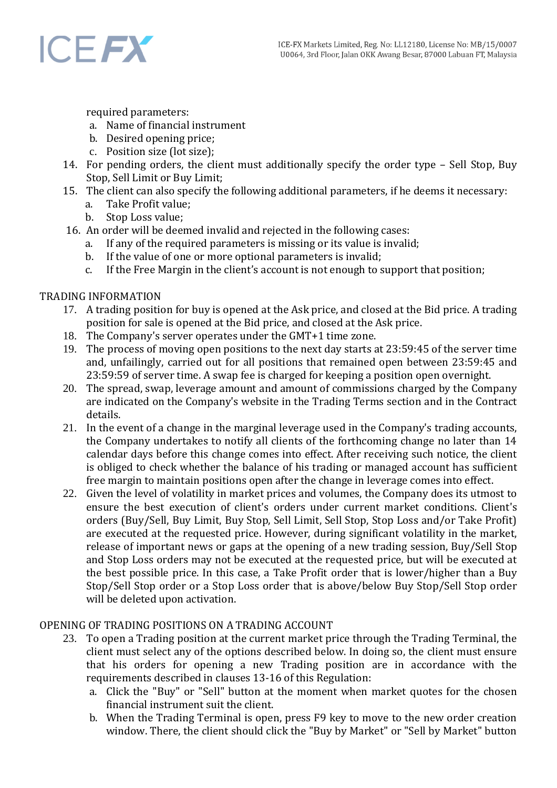

required parameters:

- a. Name of financial instrument
- b. Desired opening price;
- c. Position size (lot size);
- 14. For pending orders, the client must additionally specify the order type Sell Stop, Buy Stop, Sell Limit or Buy Limit;
- 15. The client can also specify the following additional parameters, if he deems it necessary:
	- a. Take Profit value;
	- b. Stop Loss value;
- 16. An order will be deemed invalid and rejected in the following cases:
	- a. If any of the required parameters is missing or its value is invalid;
	- b. If the value of one or more optional parameters is invalid;
	- c. If the Free Margin in the client's account is not enough to support that position;

## TRADING INFORMATION

- 17. A trading position for buy is opened at the Ask price, and closed at the Bid price. A trading position for sale is opened at the Bid price, and closed at the Ask price.
- 18. The Company's server operates under the GMT+1 time zone.
- 19. The process of moving open positions to the next day starts at 23:59:45 of the server time and, unfailingly, carried out for all positions that remained open between 23:59:45 and 23:59:59 of server time. A swap fee is charged for keeping a position open overnight.
- 20. The spread, swap, leverage amount and amount of commissions charged by the Company are indicated on the Company's website in the Trading Terms section and in the Contract details.
- 21. In the event of a change in the marginal leverage used in the Company's trading accounts, the Company undertakes to notify all clients of the forthcoming change no later than 14 calendar days before this change comes into effect. After receiving such notice, the client is obliged to check whether the balance of his trading or managed account has sufficient free margin to maintain positions open after the change in leverage comes into effect.
- 22. Given the level of volatility in market prices and volumes, the Company does its utmost to ensure the best execution of client's orders under current market conditions. Client's orders (Buy/Sell, Buy Limit, Buy Stop, Sell Limit, Sell Stop, Stop Loss and/or Take Profit) are executed at the requested price. However, during significant volatility in the market, release of important news or gaps at the opening of a new trading session, Buy/Sell Stop and Stop Loss orders may not be executed at the requested price, but will be executed at the best possible price. In this case, a Take Profit order that is lower/higher than a Buy Stop/Sell Stop order or a Stop Loss order that is above/below Buy Stop/Sell Stop order will be deleted upon activation.

# OPENING OF TRADING POSITIONS ON A TRADING ACCOUNT

- 23. To open a Trading position at the current market price through the Trading Terminal, the client must select any of the options described below. In doing so, the client must ensure that his orders for opening a new Trading position are in accordance with the requirements described in clauses 13-16 of this Regulation:
	- a. Click the "Buy" or "Sell" button at the moment when market quotes for the chosen financial instrument suit the client.
	- b. When the Trading Terminal is open, press F9 key to move to the new order creation window. There, the client should click the "Buy by Market" or "Sell by Market" button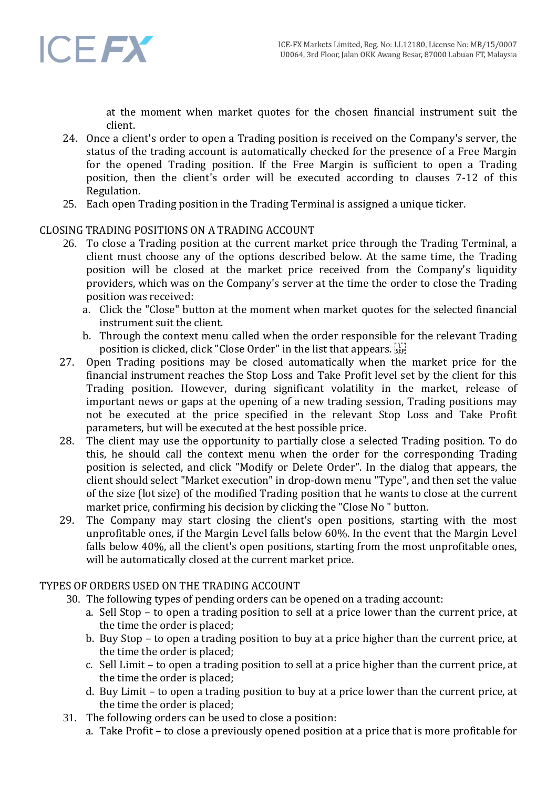

at the moment when market quotes for the chosen financial instrument suit the client.

- 24. Once a client's order to open a Trading position is received on the Company's server, the status of the trading account is automatically checked for the presence of a Free Margin for the opened Trading position. If the Free Margin is sufficient to open a Trading position, then the client's order will be executed according to clauses 7-12 of this Regulation.
- 25. Each open Trading position in the Trading Terminal is assigned a unique ticker.

## CLOSING TRADING POSITIONS ON A TRADING ACCOUNT

- 26. To close a Trading position at the current market price through the Trading Terminal, a client must choose any of the options described below. At the same time, the Trading position will be closed at the market price received from the Company's liquidity providers, which was on the Company's server at the time the order to close the Trading position was received:
	- a. Click the "Close" button at the moment when market quotes for the selected financial instrument suit the client.
	- b. Through the context menu called when the order responsible for the relevant Trading position is clicked, click "Close Order" in the list that appears.
- 27. Open Trading positions may be closed automatically when the market price for the financial instrument reaches the Stop Loss and Take Profit level set by the client for this Trading position. However, during significant volatility in the market, release of important news or gaps at the opening of a new trading session, Trading positions may not be executed at the price specified in the relevant Stop Loss and Take Profit parameters, but will be executed at the best possible price.
- 28. The client may use the opportunity to partially close a selected Trading position. To do this, he should call the context menu when the order for the corresponding Trading position is selected, and click "Modify or Delete Order". In the dialog that appears, the client should select "Market execution" in drop-down menu "Type", and then set the value of the size (lot size) of the modified Trading position that he wants to close at the current market price, confirming his decision by clicking the "Close No " button.
- 29. The Company may start closing the client's open positions, starting with the most unprofitable ones, if the Margin Level falls below 60%. In the event that the Margin Level falls below 40%, all the client's open positions, starting from the most unprofitable ones, will be automatically closed at the current market price.

## TYPES OF ORDERS USED ON THE TRADING ACCOUNT

- 30. The following types of pending orders can be opened on a trading account:
	- a. Sell Stop to open a trading position to sell at a price lower than the current price, at the time the order is placed;
	- b. Buy Stop to open a trading position to buy at a price higher than the current price, at the time the order is placed;
	- c. Sell Limit to open a trading position to sell at a price higher than the current price, at the time the order is placed;
	- d. Buy Limit to open a trading position to buy at a price lower than the current price, at the time the order is placed;
- 31. The following orders can be used to close a position:
	- a. Take Profit to close a previously opened position at a price that is more profitable for